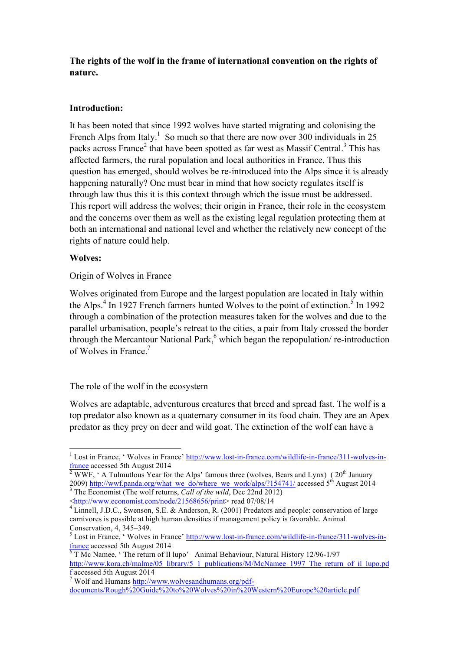# **The rights of the wolf in the frame of international convention on the rights of nature.**

## **Introduction:**

It has been noted that since 1992 wolves have started migrating and colonising the French Alps from Italy.<sup>1</sup> So much so that there are now over 300 individuals in 25 packs across France<sup>2</sup> that have been spotted as far west as Massif Central.<sup>3</sup> This has affected farmers, the rural population and local authorities in France. Thus this question has emerged, should wolves be re-introduced into the Alps since it is already happening naturally? One must bear in mind that how society regulates itself is through law thus this it is this context through which the issue must be addressed. This report will address the wolves; their origin in France, their role in the ecosystem and the concerns over them as well as the existing legal regulation protecting them at both an international and national level and whether the relatively new concept of the rights of nature could help.

### **Wolves:**

Origin of Wolves in France

Wolves originated from Europe and the largest population are located in Italy within the Alps.<sup>4</sup> In 1927 French farmers hunted Wolves to the point of extinction.<sup>5</sup> In 1992 through a combination of the protection measures taken for the wolves and due to the parallel urbanisation, people's retreat to the cities, a pair from Italy crossed the border through the Mercantour National Park, $6$  which began the repopulation/ re-introduction of Wolves in France.<sup>7</sup>

### The role of the wolf in the ecosystem

Wolves are adaptable, adventurous creatures that breed and spread fast. The wolf is a top predator also known as a quaternary consumer in its food chain. They are an Apex predator as they prey on deer and wild goat. The extinction of the wolf can have a

<sup>&</sup>lt;sup>1</sup> Lost in France, 'Wolves in France' <u>http://www.lost-in-france.com/wildlife-in-france/311-wolves-in-<br>  $\frac{\text{france}}{2 \text{ WW}}$  and  $\frac{\text{WV}}{2 \text{ WW}}$  is a Tulmulous Most for the Alma, formation of the continued in the contin</u>

 $\overline{\text{WWF}}$ , ' A Tulmutlous Year for the Alps' famous three (wolves, Bears and Lynx) ( 20<sup>th</sup> January 2009) http://wwf.panda.org/what\_we\_do/where\_we\_work/alps/?154741/ accessed 5th August 2014 <sup>3</sup> The Economist (The wolf returns, *Call of the wild*, Dec 22nd 2012)

 $\frac{\text{th}}{4}$  Linnell, J.D.C., Swenson, S.E. & Anderson, R. (2001) Predators and people: conservation of large carnivores is possible at high human densities if management policy is favorable. Animal

 $<sup>5</sup>$  Lost in France, ' Wolves in France' http://www.lost-in-france.com/wildlife-in-france/311-wolves-in-</sup>

france accessed 5th August 2014<br><sup>6</sup> T Mc Namee, ' The return of Il lupo' Animal Behaviour, Natural History 12/96-1/97 http://www.kora.ch/malme/05\_library/5\_1\_publications/M/McNamee\_1997\_The\_return\_of\_il\_lupo.pd f accessed 5th August 2014

<sup>7</sup> Wolf and Humans http://www.wolvesandhumans.org/pdfdocuments/Rough%20Guide%20to%20Wolves%20in%20Western%20Europe%20article.pdf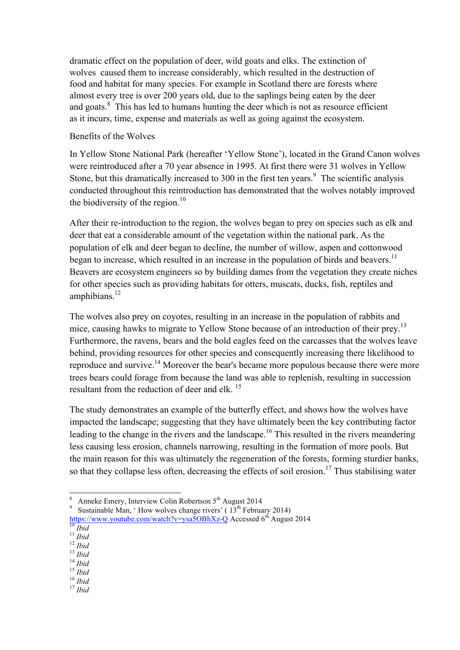dramatic effect on the population of deer, wild goats and elks. The extinction of wolves caused them to increase considerably, which resulted in the destruction of food and habitat for many species. For example in Scotland there are forests where almost every tree is over 200 years old, due to the saplings being eaten by the deer and goats.<sup>8</sup> This has led to humans hunting the deer which is not as resource efficient as it incurs, time, expense and materials as well as going against the ecosystem.

### Benefits of the Wolves

In Yellow Stone National Park (hereafter 'Yellow Stone'), located in the Grand Canon wolves were reintroduced after a 70 year absence in 1995. At first there were 31 wolves in Yellow Stone, but this dramatically increased to 300 in the first ten years.<sup>9</sup> The scientific analysis conducted throughout this reintroduction has demonstrated that the wolves notably improved the biodiversity of the region.<sup>10</sup>

After their re-introduction to the region, the wolves began to prey on species such as elk and deer that eat a considerable amount of the vegetation within the national park. As the population of elk and deer began to decline, the number of willow, aspen and cottonwood began to increase, which resulted in an increase in the population of birds and beavers.<sup>11</sup> Beavers are ecosystem engineers so by building dames from the vegetation they create niches for other species such as providing habitats for otters, muscats, ducks, fish, reptiles and amphibians. $^{12}$ 

The wolves also prey on coyotes, resulting in an increase in the population of rabbits and mice, causing hawks to migrate to Yellow Stone because of an introduction of their prey.<sup>13</sup> Furthermore, the ravens, bears and the bold eagles feed on the carcasses that the wolves leave behind, providing resources for other species and consequently increasing there likelihood to reproduce and survive.<sup>14</sup> Moreover the bear's became more populous because there were more trees bears could forage from because the land was able to replenish, resulting in succession resultant from the reduction of deer and elk.<sup>15</sup>

The study demonstrates an example of the butterfly effect, and shows how the wolves have impacted the landscape; suggesting that they have ultimately been the key contributing factor leading to the change in the rivers and the landscape.<sup>16</sup> This resulted in the rivers meandering less causing less erosion, channels narrowing, resulting in the formation of more pools. But the main reason for this was ultimately the regeneration of the forests, forming sturdier banks, so that they collapse less often, decreasing the effects of soil erosion.<sup>17</sup> Thus stabilising water

- 
- 

- 
- 

Anneke Emery, Interview Colin Robertson  $5<sup>th</sup>$  August 2014

<sup>&</sup>lt;sup>9</sup> Sustainable Man, 'How wolves change rivers' ( $13<sup>th</sup>$  February 2014) https://www.youtube.com/watch?v=ysa5OBhXz-Q Accessed 6<sup>th</sup> August 2014<br>
<sup>10</sup> *Ibid*<br>
<sup>11</sup> *Ibid*<br>
<sup>12</sup> *Ibid*<br>
<sup>13</sup> *Ibid*<br>
<sup>14</sup> *Ibid*<br>
<sup>16</sup> *Ibid*<br>
<sup>16</sup> *Ibid*<br>
<sup>17</sup> *Ibid*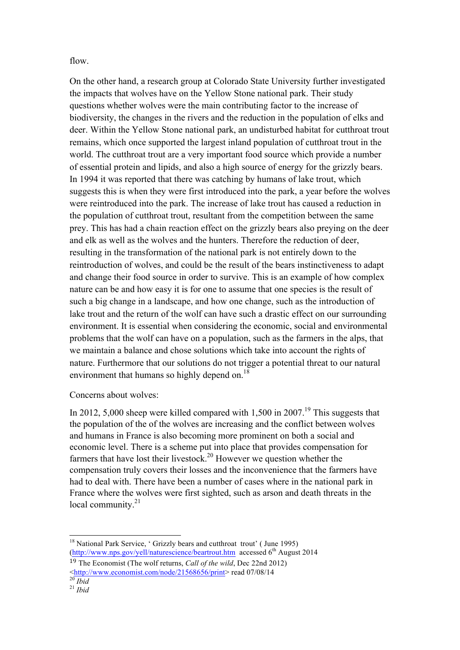flow.

On the other hand, a research group at Colorado State University further investigated the impacts that wolves have on the Yellow Stone national park. Their study questions whether wolves were the main contributing factor to the increase of biodiversity, the changes in the rivers and the reduction in the population of elks and deer. Within the Yellow Stone national park, an undisturbed habitat for cutthroat trout remains, which once supported the largest inland population of cutthroat trout in the world. The cutthroat trout are a very important food source which provide a number of essential protein and lipids, and also a high source of energy for the grizzly bears. In 1994 it was reported that there was catching by humans of lake trout, which suggests this is when they were first introduced into the park, a year before the wolves were reintroduced into the park. The increase of lake trout has caused a reduction in the population of cutthroat trout, resultant from the competition between the same prey. This has had a chain reaction effect on the grizzly bears also preying on the deer and elk as well as the wolves and the hunters. Therefore the reduction of deer, resulting in the transformation of the national park is not entirely down to the reintroduction of wolves, and could be the result of the bears instinctiveness to adapt and change their food source in order to survive. This is an example of how complex nature can be and how easy it is for one to assume that one species is the result of such a big change in a landscape, and how one change, such as the introduction of lake trout and the return of the wolf can have such a drastic effect on our surrounding environment. It is essential when considering the economic, social and environmental problems that the wolf can have on a population, such as the farmers in the alps, that we maintain a balance and chose solutions which take into account the rights of nature. Furthermore that our solutions do not trigger a potential threat to our natural environment that humans so highly depend on.<sup>18</sup>

Concerns about wolves:

In 2012, 5,000 sheep were killed compared with 1,500 in 2007.<sup>19</sup> This suggests that the population of the of the wolves are increasing and the conflict between wolves and humans in France is also becoming more prominent on both a social and economic level. There is a scheme put into place that provides compensation for farmers that have lost their livestock.<sup>20</sup> However we question whether the compensation truly covers their losses and the inconvenience that the farmers have had to deal with. There have been a number of cases where in the national park in France where the wolves were first sighted, such as arson and death threats in the local community. $21$ 

<sup>&</sup>lt;sup>18</sup> National Park Service, ' Grizzly bears and cutthroat trout' (June 1995) (http://www.nps.gov/yell/naturescience/beartrout.htm accessed  $6<sup>th</sup>$  August 2014

<sup>19</sup> The Economist (The wolf returns, *Call of the wild*, Dec 22nd 2012)  $\frac{\text{th}}{20}$  *Ibid*<br><sup>20</sup> *Ibid*<br><sup>21</sup> *Ibid*<br><sup>21</sup> *Ibid*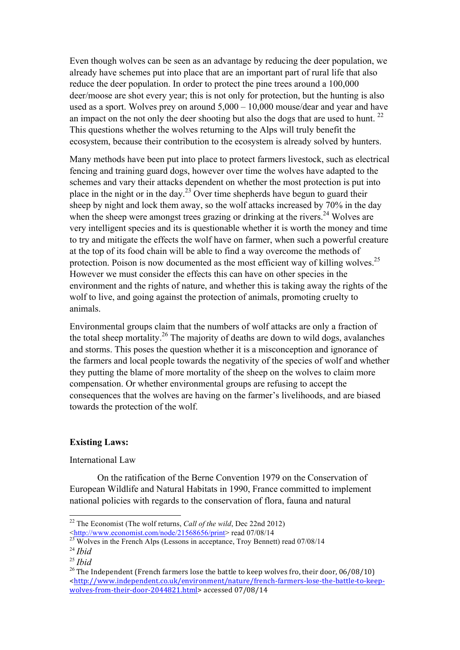Even though wolves can be seen as an advantage by reducing the deer population, we already have schemes put into place that are an important part of rural life that also reduce the deer population. In order to protect the pine trees around a 100,000 deer/moose are shot every year; this is not only for protection, but the hunting is also used as a sport. Wolves prey on around 5,000 – 10,000 mouse/dear and year and have an impact on the not only the deer shooting but also the dogs that are used to hunt.  $^{22}$ This questions whether the wolves returning to the Alps will truly benefit the ecosystem, because their contribution to the ecosystem is already solved by hunters.

Many methods have been put into place to protect farmers livestock, such as electrical fencing and training guard dogs, however over time the wolves have adapted to the schemes and vary their attacks dependent on whether the most protection is put into place in the night or in the day.23 Over time shepherds have begun to guard their sheep by night and lock them away, so the wolf attacks increased by 70% in the day when the sheep were amongst trees grazing or drinking at the rivers.<sup>24</sup> Wolves are very intelligent species and its is questionable whether it is worth the money and time to try and mitigate the effects the wolf have on farmer, when such a powerful creature at the top of its food chain will be able to find a way overcome the methods of protection. Poison is now documented as the most efficient way of killing wolves.<sup>25</sup> However we must consider the effects this can have on other species in the environment and the rights of nature, and whether this is taking away the rights of the wolf to live, and going against the protection of animals, promoting cruelty to animals.

Environmental groups claim that the numbers of wolf attacks are only a fraction of the total sheep mortality.26 The majority of deaths are down to wild dogs, avalanches and storms. This poses the question whether it is a misconception and ignorance of the farmers and local people towards the negativity of the species of wolf and whether they putting the blame of more mortality of the sheep on the wolves to claim more compensation. Or whether environmental groups are refusing to accept the consequences that the wolves are having on the farmer's livelihoods, and are biased towards the protection of the wolf.

### **Existing Laws:**

International Law

On the ratification of the Berne Convention 1979 on the Conservation of European Wildlife and Natural Habitats in 1990, France committed to implement national policies with regards to the conservation of flora, fauna and natural

 <sup>22</sup> The Economist (The wolf returns, *Call of the wild*, Dec 22nd 2012)  $\frac{\text{Khtp}}{23}$  Wolves in the French Alps (Lessons in acceptance, Troy Bennett) read 07/08/14

<sup>24</sup> *Ibid*

<sup>25</sup> *Ibid*

<sup>&</sup>lt;sup>26</sup> The Independent (French farmers lose the battle to keep wolves fro, their door, 06/08/10) <http://www.independent.co.uk/environment/nature/french-farmers-lose-the-battle-to-keepwolves-from-their-door-2044821.html> accessed 07/08/14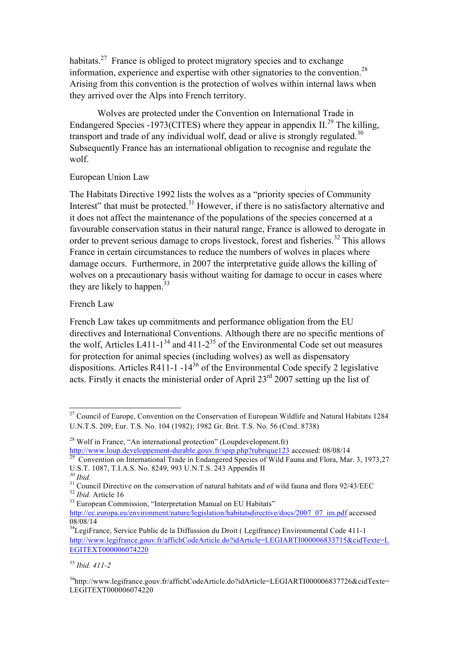habitats.<sup>27</sup> France is obliged to protect migratory species and to exchange information, experience and expertise with other signatories to the convention.28 Arising from this convention is the protection of wolves within internal laws when they arrived over the Alps into French territory.

Wolves are protected under the Convention on International Trade in Endangered Species -1973(CITES) where they appear in appendix  $II^{29}$ . The killing, transport and trade of any individual wolf, dead or alive is strongly regulated.<sup>30</sup> Subsequently France has an international obligation to recognise and regulate the wolf.

## European Union Law

The Habitats Directive 1992 lists the wolves as a "priority species of Community Interest" that must be protected. $31$  However, if there is no satisfactory alternative and it does not affect the maintenance of the populations of the species concerned at a favourable conservation status in their natural range, France is allowed to derogate in order to prevent serious damage to crops livestock, forest and fisheries.<sup>32</sup> This allows France in certain circumstances to reduce the numbers of wolves in places where damage occurs. Furthermore, in 2007 the interpretative guide allows the killing of wolves on a precautionary basis without waiting for damage to occur in cases where they are likely to happen.<sup>33</sup>

## French Law

French Law takes up commitments and performance obligation from the EU directives and International Conventions. Although there are no specific mentions of the wolf, Articles L411-1<sup>34</sup> and 411-2<sup>35</sup> of the Environmental Code set out measures for protection for animal species (including wolves) as well as dispensatory dispositions. Articles R411-1 -14<sup>36</sup> of the Environmental Code specify 2 legislative acts. Firstly it enacts the ministerial order of April 23<sup>rd</sup> 2007 setting up the list of

<sup>&</sup>lt;sup>27</sup> Council of Europe, Convention on the Conservation of European Wildlife and Natural Habitats 1284 U.N.T.S. 209; Eur. T.S. No. 104 (1982); 1982 Gr. Brit. T.S. No. 56 (Cmd. 8738)

<sup>&</sup>lt;sup>28</sup> Wolf in France, "An international protection" (Loupdevelopment.fr)<br>http://www.loup.developpement-durable.gouv.fr/spip.php?rubrique123 accessed: 08/08/14

**Convention on International Trade in Endangered Species of Wild Fauna and Flora, Mar. 3, 1973,27** U.S.T. 1087, T.I.A.S. No. 8249, 993 U.N.T.S. 243 Appendix II 30 Ihid

<sup>&</sup>lt;sup>31</sup> Council Directive on the conservation of natural habitats and of wild fauna and flora 92/43/EEC <sup>32</sup> *Ibid.* Article 16 <sup>33</sup> European Commission, "Interpretation Manual on EU Habitats"

http://ec.europa.eu/environment/nature/legislation/habitatsdirective/docs/2007\_07\_im.pdf accessed 08/08/14

<sup>&</sup>lt;sup>34</sup>LegiFrance, Service Public de la Diffussion du Droit (Legifrance) Environmental Code 411-1 http://www.legifrance.gouv.fr/affichCodeArticle.do?idArticle=LEGIARTI000006833715&cidTexte=L EGITEXT000006074220

<sup>35</sup> *Ibid. 411-2* 

<sup>36</sup>http://www.legifrance.gouv.fr/affichCodeArticle.do?idArticle=LEGIARTI000006837726&cidTexte= LEGITEXT000006074220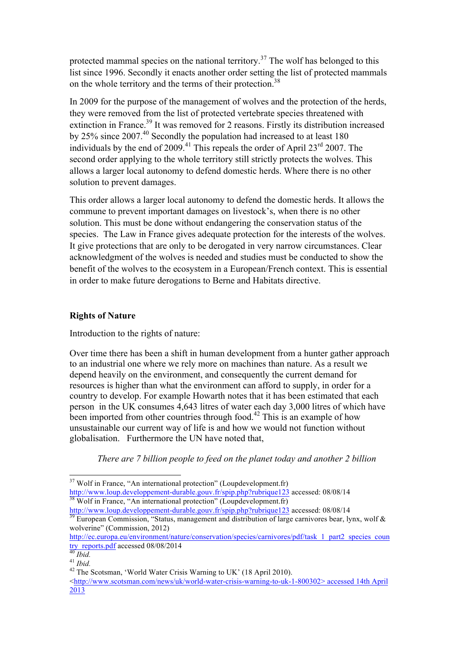protected mammal species on the national territory.<sup>37</sup> The wolf has belonged to this list since 1996. Secondly it enacts another order setting the list of protected mammals on the whole territory and the terms of their protection.<sup>38</sup>

In 2009 for the purpose of the management of wolves and the protection of the herds, they were removed from the list of protected vertebrate species threatened with extinction in France.<sup>39</sup> It was removed for 2 reasons. Firstly its distribution increased by 25% since 2007.40 Secondly the population had increased to at least 180 individuals by the end of 2009.<sup>41</sup> This repeals the order of April 23<sup>rd</sup> 2007. The second order applying to the whole territory still strictly protects the wolves. This allows a larger local autonomy to defend domestic herds. Where there is no other solution to prevent damages.

This order allows a larger local autonomy to defend the domestic herds. It allows the commune to prevent important damages on livestock's, when there is no other solution. This must be done without endangering the conservation status of the species. The Law in France gives adequate protection for the interests of the wolves. It give protections that are only to be derogated in very narrow circumstances. Clear acknowledgment of the wolves is needed and studies must be conducted to show the benefit of the wolves to the ecosystem in a European/French context. This is essential in order to make future derogations to Berne and Habitats directive.

## **Rights of Nature**

Introduction to the rights of nature:

Over time there has been a shift in human development from a hunter gather approach to an industrial one where we rely more on machines than nature. As a result we depend heavily on the environment, and consequently the current demand for resources is higher than what the environment can afford to supply, in order for a country to develop. For example Howarth notes that it has been estimated that each person in the UK consumes 4,643 litres of water each day 3,000 litres of which have been imported from other countries through food.<sup>42</sup> This is an example of how unsustainable our current way of life is and how we would not function without globalisation. Furthermore the UN have noted that,

*There are 7 billion people to feed on the planet today and another 2 billion* 

 $37$  Wolf in France, "An international protection" (Loupdevelopment.fr) http://www.loup.developpement-durable.gouv.fr/spip.php?rubrique123 accessed: 08/08/14 <sup>38</sup> Wolf in France. "An international protection" (Loupdevelopment.fr)

http://www.loup.developpement-durable.gouv.fr/spip.php?rubrique123 accessed: 08/08/14<br><sup>39</sup> European Commission, "Status, management and distribution of large carnivores bear, lynx, wolf & wolverine" (Commission, 2012)

http://ec.europa.eu/environment/nature/conservation/species/carnivores/pdf/task\_1\_part2\_species\_coun<br>try\_reports.pdf accessed 08/08/2014<br><sup>40</sup> Ibid.

try *Ibia.*<br><sup>41</sup> *Ibid.* 42<br><sup>42</sup> The Scotsman. 'World Water Crisis Warning to UK' (18 April 2010).

<sup>&</sup>lt;http://www.scotsman.com/news/uk/world-water-crisis-warning-to-uk-1-800302> accessed 14th April 2013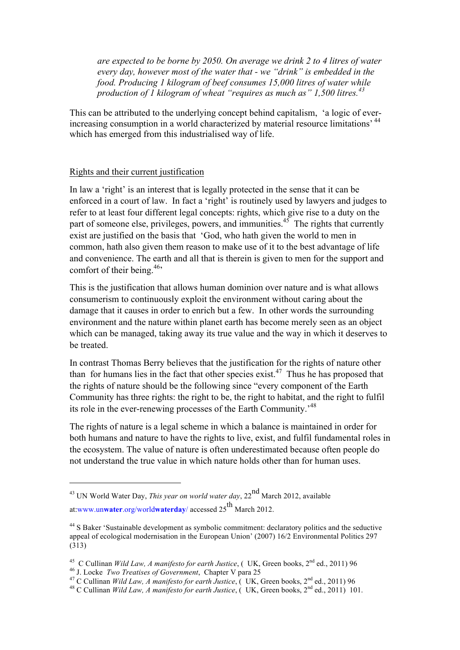*are expected to be borne by 2050. On average we drink 2 to 4 litres of water every day, however most of the water that - we "drink" is embedded in the food. Producing 1 kilogram of beef consumes 15,000 litres of water while production of 1 kilogram of wheat "requires as much as" 1,500 litres.<sup>43</sup>*

This can be attributed to the underlying concept behind capitalism, 'a logic of everincreasing consumption in a world characterized by material resource limitations' <sup>44</sup> which has emerged from this industrialised way of life.

### Rights and their current justification

In law a 'right' is an interest that is legally protected in the sense that it can be enforced in a court of law. In fact a 'right' is routinely used by lawyers and judges to refer to at least four different legal concepts: rights, which give rise to a duty on the part of someone else, privileges, powers, and immunities.<sup>45</sup> The rights that currently exist are justified on the basis that 'God, who hath given the world to men in common, hath also given them reason to make use of it to the best advantage of life and convenience. The earth and all that is therein is given to men for the support and comfort of their being.<sup>46,</sup>

This is the justification that allows human dominion over nature and is what allows consumerism to continuously exploit the environment without caring about the damage that it causes in order to enrich but a few. In other words the surrounding environment and the nature within planet earth has become merely seen as an object which can be managed, taking away its true value and the way in which it deserves to be treated.

In contrast Thomas Berry believes that the justification for the rights of nature other than for humans lies in the fact that other species exist.<sup>47</sup> Thus he has proposed that the rights of nature should be the following since "every component of the Earth Community has three rights: the right to be, the right to habitat, and the right to fulfil its role in the ever-renewing processes of the Earth Community.<sup>48</sup>

The rights of nature is a legal scheme in which a balance is maintained in order for both humans and nature to have the rights to live, exist, and fulfil fundamental roles in the ecosystem. The value of nature is often underestimated because often people do not understand the true value in which nature holds other than for human uses.

<u> 1989 - Johann Stein, marwolaethau a bh</u>

<sup>&</sup>lt;sup>43</sup> UN World Water Day, *This year on world water day*,  $22^{nd}$  March 2012, available at:www.un**water**.org/world**waterday**/ accessed 25th March 2012.

<sup>&</sup>lt;sup>44</sup> S Baker 'Sustainable development as symbolic commitment: declaratory politics and the seductive appeal of ecological modernisation in the European Union' (2007) 16/2 Environmental Politics 297 (313)

<sup>&</sup>lt;sup>45</sup> C Cullinan *Wild Law, A manifesto for earth Justice*, (*UK, Green books,*  $2^{nd}$  ed., 2011) 96<br><sup>46</sup> J. Locke *Two Treatises of Government*, Chapter V para 25<br><sup>47</sup> C Cullinan *Wild Law, A manifesto for earth Justice*,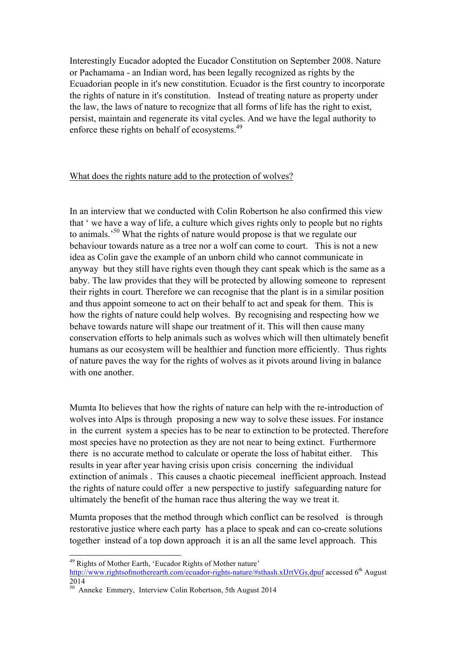Interestingly Eucador adopted the Eucador Constitution on September 2008. Nature or Pachamama - an Indian word, has been legally recognized as rights by the Ecuadorian people in it's new constitution. Ecuador is the first country to incorporate the rights of nature in it's constitution. Instead of treating nature as property under the law, the laws of nature to recognize that all forms of life has the right to exist, persist, maintain and regenerate its vital cycles. And we have the legal authority to enforce these rights on behalf of ecosystems.<sup>49</sup>

### What does the rights nature add to the protection of wolves?

In an interview that we conducted with Colin Robertson he also confirmed this view that ' we have a way of life, a culture which gives rights only to people but no rights to animals.'50 What the rights of nature would propose is that we regulate our behaviour towards nature as a tree nor a wolf can come to court. This is not a new idea as Colin gave the example of an unborn child who cannot communicate in anyway but they still have rights even though they cant speak which is the same as a baby. The law provides that they will be protected by allowing someone to represent their rights in court. Therefore we can recognise that the plant is in a similar position and thus appoint someone to act on their behalf to act and speak for them. This is how the rights of nature could help wolves. By recognising and respecting how we behave towards nature will shape our treatment of it. This will then cause many conservation efforts to help animals such as wolves which will then ultimately benefit humans as our ecosystem will be healthier and function more efficiently. Thus rights of nature paves the way for the rights of wolves as it pivots around living in balance with one another.

Mumta Ito believes that how the rights of nature can help with the re-introduction of wolves into Alps is through proposing a new way to solve these issues. For instance in the current system a species has to be near to extinction to be protected. Therefore most species have no protection as they are not near to being extinct. Furthermore there is no accurate method to calculate or operate the loss of habitat either. This results in year after year having crisis upon crisis concerning the individual extinction of animals . This causes a chaotic piecemeal inefficient approach. Instead the rights of nature could offer a new perspective to justify safeguarding nature for ultimately the benefit of the human race thus altering the way we treat it.

Mumta proposes that the method through which conflict can be resolved is through restorative justice where each party has a place to speak and can co-create solutions together instead of a top down approach it is an all the same level approach. This

 <sup>49</sup> Rights of Mother Earth, 'Eucador Rights of Mother nature'

http://www.rightsofmotherearth.com/ecuador-rights-nature/#sthash.xIJrtVGs.dpuf accessed 6<sup>th</sup> August 2014

 $50^{50}$  Anneke Emmery, Interview Colin Robertson, 5th August 2014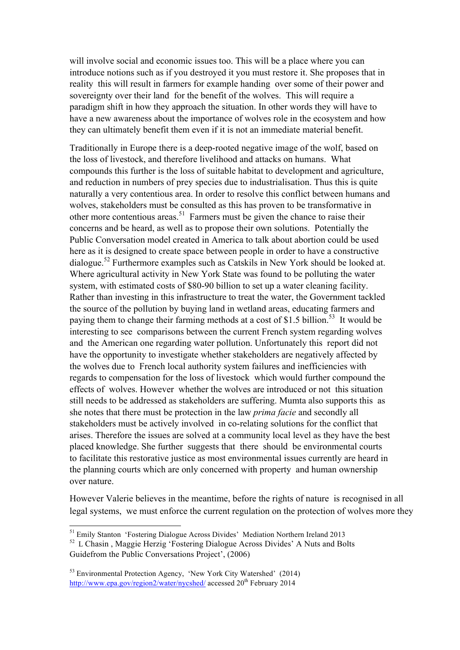will involve social and economic issues too. This will be a place where you can introduce notions such as if you destroyed it you must restore it. She proposes that in reality this will result in farmers for example handing over some of their power and sovereignty over their land for the benefit of the wolves. This will require a paradigm shift in how they approach the situation. In other words they will have to have a new awareness about the importance of wolves role in the ecosystem and how they can ultimately benefit them even if it is not an immediate material benefit.

Traditionally in Europe there is a deep-rooted negative image of the wolf, based on the loss of livestock, and therefore livelihood and attacks on humans. What compounds this further is the loss of suitable habitat to development and agriculture, and reduction in numbers of prey species due to industrialisation. Thus this is quite naturally a very contentious area. In order to resolve this conflict between humans and wolves, stakeholders must be consulted as this has proven to be transformative in other more contentious areas.<sup>51</sup> Farmers must be given the chance to raise their concerns and be heard, as well as to propose their own solutions. Potentially the Public Conversation model created in America to talk about abortion could be used here as it is designed to create space between people in order to have a constructive dialogue.<sup>52</sup> Furthermore examples such as Catskils in New York should be looked at. Where agricultural activity in New York State was found to be polluting the water system, with estimated costs of \$80-90 billion to set up a water cleaning facility. Rather than investing in this infrastructure to treat the water, the Government tackled the source of the pollution by buying land in wetland areas, educating farmers and paying them to change their farming methods at a cost of \$1.5 billion.<sup>53</sup> It would be interesting to see comparisons between the current French system regarding wolves and the American one regarding water pollution. Unfortunately this report did not have the opportunity to investigate whether stakeholders are negatively affected by the wolves due to French local authority system failures and inefficiencies with regards to compensation for the loss of livestock which would further compound the effects of wolves. However whether the wolves are introduced or not this situation still needs to be addressed as stakeholders are suffering. Mumta also supports this as she notes that there must be protection in the law *prima facie* and secondly all stakeholders must be actively involved in co-relating solutions for the conflict that arises. Therefore the issues are solved at a community local level as they have the best placed knowledge. She further suggests that there should be environmental courts to facilitate this restorative justice as most environmental issues currently are heard in the planning courts which are only concerned with property and human ownership over nature.

However Valerie believes in the meantime, before the rights of nature is recognised in all legal systems, we must enforce the current regulation on the protection of wolves more they

 <sup>51</sup> Emily Stanton 'Fostering Dialogue Across Divides' Mediation Northern Ireland 2013

<sup>&</sup>lt;sup>52</sup> L Chasin, Maggie Herzig 'Fostering Dialogue Across Divides' A Nuts and Bolts Guidefrom the Public Conversations Project', (2006)

<sup>53</sup> Environmental Protection Agency, 'New York City Watershed' (2014) http://www.epa.gov/region2/water/nycshed/ accessed 20<sup>th</sup> February 2014